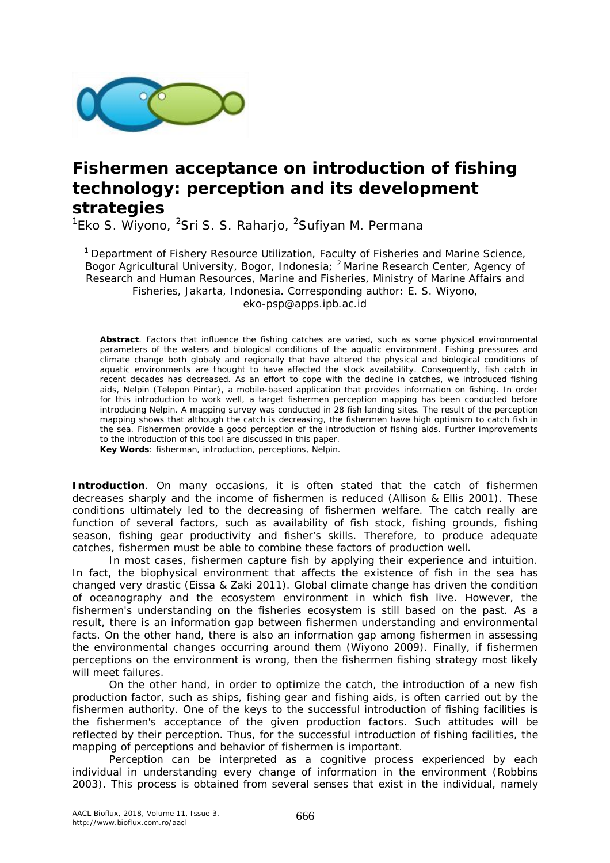

# **Fishermen acceptance on introduction of fishing technology: perception and its development strategies**

<sup>1</sup>Eko S. Wiyono, <sup>2</sup>Sri S. S. Raharjo, <sup>2</sup>Sufiyan M. Permana

<sup>1</sup> Department of Fishery Resource Utilization, Faculty of Fisheries and Marine Science, Bogor Agricultural University, Bogor, Indonesia; <sup>2</sup> Marine Research Center, Agency of Research and Human Resources, Marine and Fisheries, Ministry of Marine Affairs and Fisheries, Jakarta, Indonesia. Corresponding author: E. S. Wiyono, eko-psp@apps.ipb.ac.id

**Abstract**. Factors that influence the fishing catches are varied, such as some physical environmental parameters of the waters and biological conditions of the aquatic environment. Fishing pressures and climate change both globaly and regionally that have altered the physical and biological conditions of aquatic environments are thought to have affected the stock availability. Consequently, fish catch in recent decades has decreased. As an effort to cope with the decline in catches, we introduced fishing aids, Nelpin (*Telepon Pintar*), a mobile-based application that provides information on fishing. In order for this introduction to work well, a target fishermen perception mapping has been conducted before introducing Nelpin. A mapping survey was conducted in 28 fish landing sites. The result of the perception mapping shows that although the catch is decreasing, the fishermen have high optimism to catch fish in the sea. Fishermen provide a good perception of the introduction of fishing aids. Further improvements to the introduction of this tool are discussed in this paper.

**Key Words**: fisherman, introduction, perceptions, Nelpin.

**Introduction**. On many occasions, it is often stated that the catch of fishermen decreases sharply and the income of fishermen is reduced (Allison & Ellis 2001). These conditions ultimately led to the decreasing of fishermen welfare. The catch really are function of several factors, such as availability of fish stock, fishing grounds, fishing season, fishing gear productivity and fisher's skills. Therefore, to produce adequate catches, fishermen must be able to combine these factors of production well.

In most cases, fishermen capture fish by applying their experience and intuition. In fact, the biophysical environment that affects the existence of fish in the sea has changed very drastic (Eissa & Zaki 2011). Global climate change has driven the condition of oceanography and the ecosystem environment in which fish live. However, the fishermen's understanding on the fisheries ecosystem is still based on the past. As a result, there is an information gap between fishermen understanding and environmental facts. On the other hand, there is also an information gap among fishermen in assessing the environmental changes occurring around them (Wiyono 2009). Finally, if fishermen perceptions on the environment is wrong, then the fishermen fishing strategy most likely will meet failures.

On the other hand, in order to optimize the catch, the introduction of a new fish production factor, such as ships, fishing gear and fishing aids, is often carried out by the fishermen authority. One of the keys to the successful introduction of fishing facilities is the fishermen's acceptance of the given production factors. Such attitudes will be reflected by their perception. Thus, for the successful introduction of fishing facilities, the mapping of perceptions and behavior of fishermen is important.

Perception can be interpreted as a cognitive process experienced by each individual in understanding every change of information in the environment (Robbins 2003). This process is obtained from several senses that exist in the individual, namely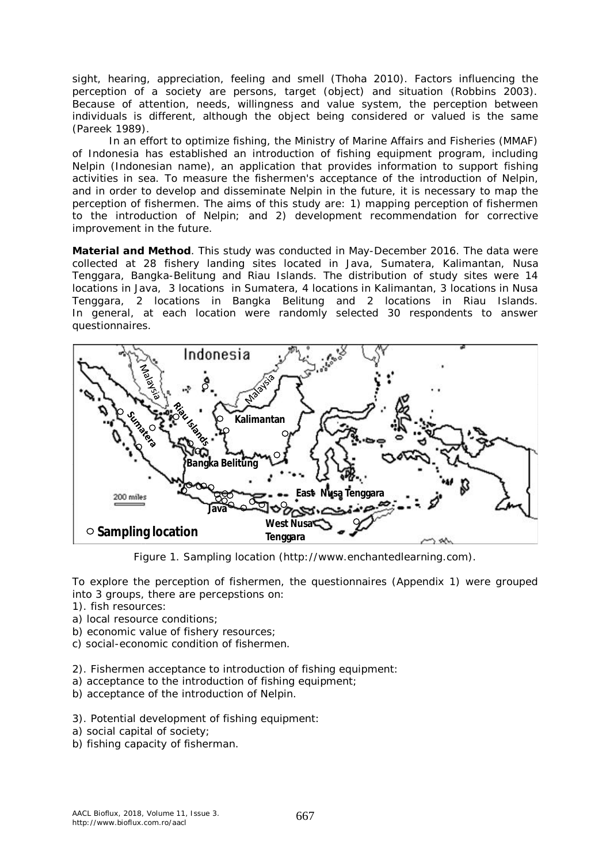sight, hearing, appreciation, feeling and smell (Thoha 2010). Factors influencing the perception of a society are persons, target (object) and situation (Robbins 2003). Because of attention, needs, willingness and value system, the perception between individuals is different, although the object being considered or valued is the same (Pareek 1989).

In an effort to optimize fishing, the Ministry of Marine Affairs and Fisheries (MMAF) of Indonesia has established an introduction of fishing equipment program, including Nelpin (Indonesian name), an application that provides information to support fishing activities in sea. To measure the fishermen's acceptance of the introduction of Nelpin, and in order to develop and disseminate Nelpin in the future, it is necessary to map the perception of fishermen. The aims of this study are: 1) mapping perception of fishermen to the introduction of Nelpin; and 2) development recommendation for corrective improvement in the future.

**Material and Method**. This study was conducted in May-December 2016. The data were collected at 28 fishery landing sites located in Java, Sumatera, Kalimantan, Nusa Tenggara, Bangka-Belitung and Riau Islands. The distribution of study sites were 14 locations in Java, 3 locations in Sumatera, 4 locations in Kalimantan, 3 locations in Nusa Tenggara, 2 locations in Bangka Belitung and 2 locations in Riau Islands. In general, at each location were randomly selected 30 respondents to answer questionnaires.



Figure 1. Sampling location (http://www.enchantedlearning.com).

To explore the perception of fishermen, the questionnaires (Appendix 1) were grouped into 3 groups, there are percepstions on:

- 1). fish resources:
- a) local resource conditions;
- b) economic value of fishery resources;
- c) social-economic condition of fishermen.
- 2). Fishermen acceptance to introduction of fishing equipment:
- a) acceptance to the introduction of fishing equipment;
- b) acceptance of the introduction of Nelpin.
- 3). Potential development of fishing equipment:
- a) social capital of society;
- b) fishing capacity of fisherman.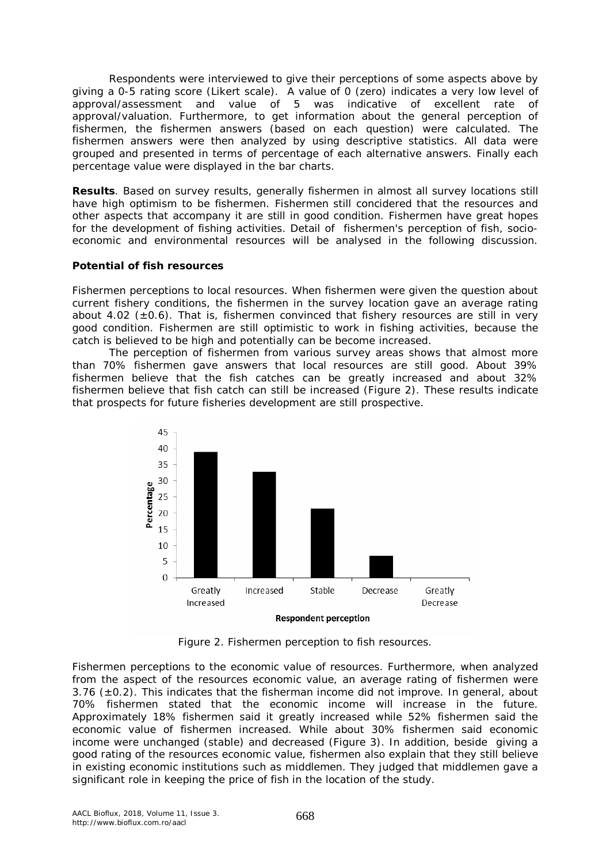Respondents were interviewed to give their perceptions of some aspects above by giving a 0-5 rating score (Likert scale). A value of 0 (zero) indicates a very low level of approval/assessment and value of 5 was indicative of excellent rate of approval/valuation. Furthermore, to get information about the general perception of fishermen, the fishermen answers (based on each question) were calculated. The fishermen answers were then analyzed by using descriptive statistics. All data were grouped and presented in terms of percentage of each alternative answers. Finally each percentage value were displayed in the bar charts.

**Results**. Based on survey results, generally fishermen in almost all survey locations still have high optimism to be fishermen. Fishermen still concidered that the resources and other aspects that accompany it are still in good condition. Fishermen have great hopes for the development of fishing activities. Detail of fishermen's perception of fish, socioeconomic and environmental resources will be analysed in the following discussion.

### *Potential of fish resources*

*Fishermen perceptions to local resources.* When fishermen were given the question about current fishery conditions, the fishermen in the survey location gave an average rating about 4.02 ( $\pm$ 0.6). That is, fishermen convinced that fishery resources are still in very good condition. Fishermen are still optimistic to work in fishing activities, because the catch is believed to be high and potentially can be become increased.

The perception of fishermen from various survey areas shows that almost more than 70% fishermen gave answers that local resources are still good. About 39% fishermen believe that the fish catches can be greatly increased and about 32% fishermen believe that fish catch can still be increased (Figure 2). These results indicate that prospects for future fisheries development are still prospective.



Figure 2. Fishermen perception to fish resources.

*Fishermen perceptions to the economic value of resources.* Furthermore, when analyzed from the aspect of the resources economic value, an average rating of fishermen were  $3.76$  ( $\pm$ 0.2). This indicates that the fisherman income did not improve. In general, about 70% fishermen stated that the economic income will increase in the future. Approximately 18% fishermen said it greatly increased while 52% fishermen said the economic value of fishermen increased. While about 30% fishermen said economic income were unchanged (stable) and decreased (Figure 3). In addition, beside giving a good rating of the resources economic value, fishermen also explain that they still believe in existing economic institutions such as middlemen. They judged that middlemen gave a significant role in keeping the price of fish in the location of the study.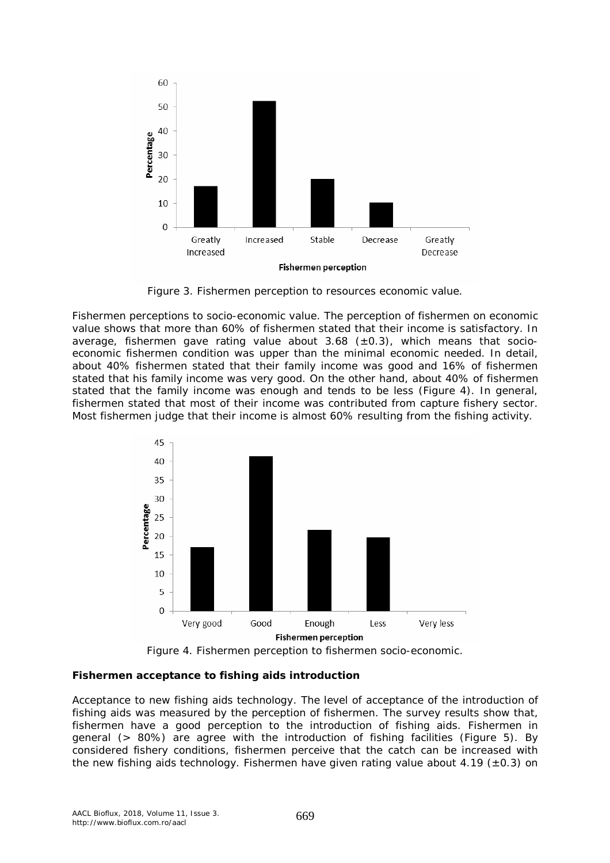

Figure 3. Fishermen perception to resources economic value.

*Fishermen perceptions to socio-economic value.* The perception of fishermen on economic value shows that more than 60% of fishermen stated that their income is satisfactory. In average, fishermen gave rating value about  $3.68$  ( $\pm$ 0.3), which means that socioeconomic fishermen condition was upper than the minimal economic needed. In detail, about 40% fishermen stated that their family income was good and 16% of fishermen stated that his family income was very good. On the other hand, about 40% of fishermen stated that the family income was enough and tends to be less (Figure 4). In general, fishermen stated that most of their income was contributed from capture fishery sector. Most fishermen judge that their income is almost 60% resulting from the fishing activity.



Figure 4. Fishermen perception to fishermen socio-economic.

## *Fishermen acceptance to fishing aids introduction*

*Acceptance to new fishing aids technology.* The level of acceptance of the introduction of fishing aids was measured by the perception of fishermen. The survey results show that, fishermen have a good perception to the introduction of fishing aids. Fishermen in general (> 80%) are agree with the introduction of fishing facilities (Figure 5). By considered fishery conditions, fishermen perceive that the catch can be increased with the new fishing aids technology. Fishermen have given rating value about 4.19 ( $\pm$ 0.3) on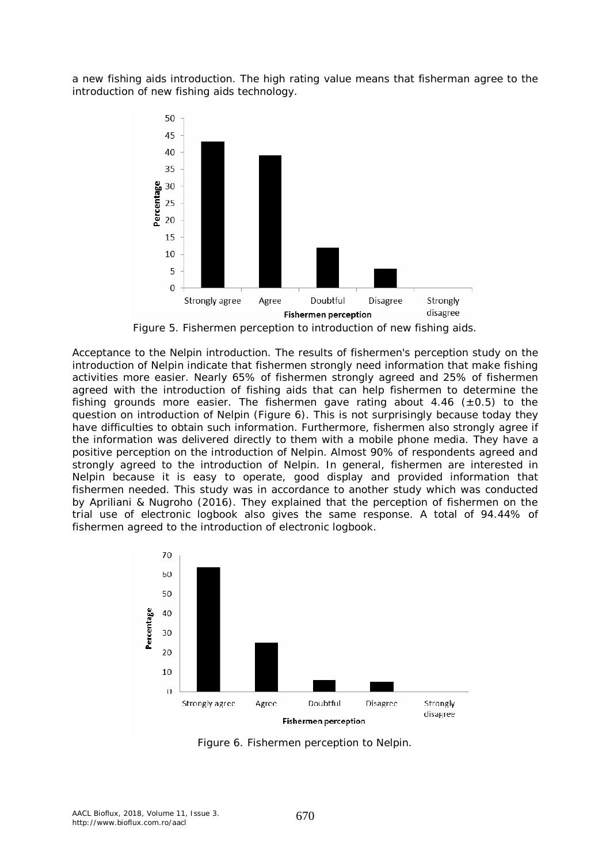a new fishing aids introduction. The high rating value means that fisherman agree to the introduction of new fishing aids technology.



Figure 5. Fishermen perception to introduction of new fishing aids.

*Acceptance to the Nelpin introduction.* The results of fishermen's perception study on the introduction of Nelpin indicate that fishermen strongly need information that make fishing activities more easier. Nearly 65% of fishermen strongly agreed and 25% of fishermen agreed with the introduction of fishing aids that can help fishermen to determine the fishing grounds more easier. The fishermen gave rating about 4.46 ( $\pm$ 0.5) to the question on introduction of Nelpin (Figure 6). This is not surprisingly because today they have difficulties to obtain such information. Furthermore, fishermen also strongly agree if the information was delivered directly to them with a mobile phone media. They have a positive perception on the introduction of Nelpin*.* Almost 90% of respondents agreed and strongly agreed to the introduction of Nelpin*.* In general, fishermen are interested in Nelpin because it is easy to operate, good display and provided information that fishermen needed. This study was in accordance to another study which was conducted by Apriliani & Nugroho (2016). They explained that the perception of fishermen on the trial use of electronic logbook also gives the same response. A total of 94.44% of fishermen agreed to the introduction of electronic logbook.



Figure 6. Fishermen perception to Nelpin.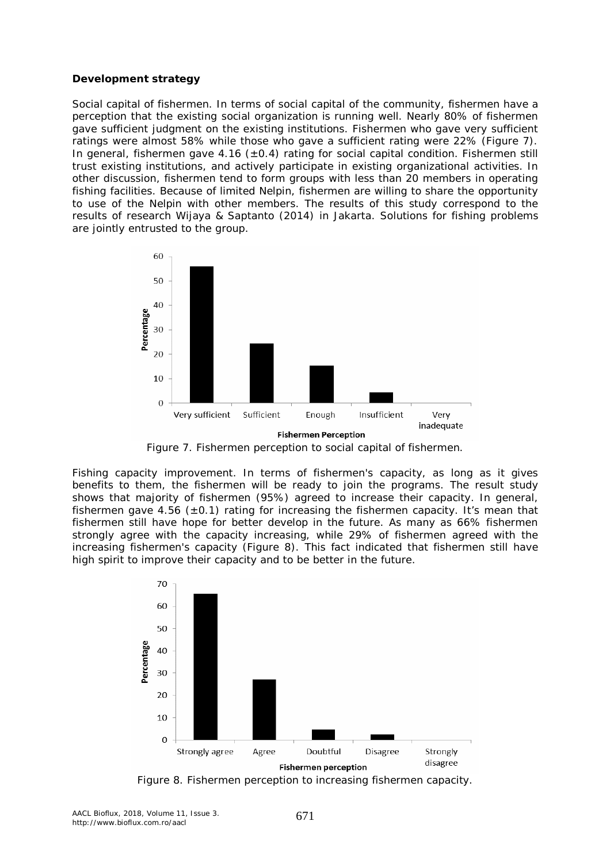#### *Development strategy*

*Social capital of fishermen.* In terms of social capital of the community, fishermen have a perception that the existing social organization is running well. Nearly 80% of fishermen gave sufficient judgment on the existing institutions. Fishermen who gave very sufficient ratings were almost 58% while those who gave a sufficient rating were 22% (Figure 7). In general, fishermen gave  $4.16 \ (\pm 0.4)$  rating for social capital condition. Fishermen still trust existing institutions, and actively participate in existing organizational activities. In other discussion, fishermen tend to form groups with less than 20 members in operating fishing facilities. Because of limited Nelpin, fishermen are willing to share the opportunity to use of the Nelpin with other members. The results of this study correspond to the results of research Wijaya & Saptanto (2014) in Jakarta. Solutions for fishing problems are jointly entrusted to the group.



Figure 7. Fishermen perception to social capital of fishermen.

*Fishing capacity improvement.* In terms of fishermen's capacity, as long as it gives benefits to them, the fishermen will be ready to join the programs. The result study shows that majority of fishermen (95%) agreed to increase their capacity. In general, fishermen gave 4.56 ( $\pm$ 0.1) rating for increasing the fishermen capacity. It's mean that fishermen still have hope for better develop in the future. As many as 66% fishermen strongly agree with the capacity increasing, while 29% of fishermen agreed with the increasing fishermen's capacity (Figure 8). This fact indicated that fishermen still have high spirit to improve their capacity and to be better in the future.



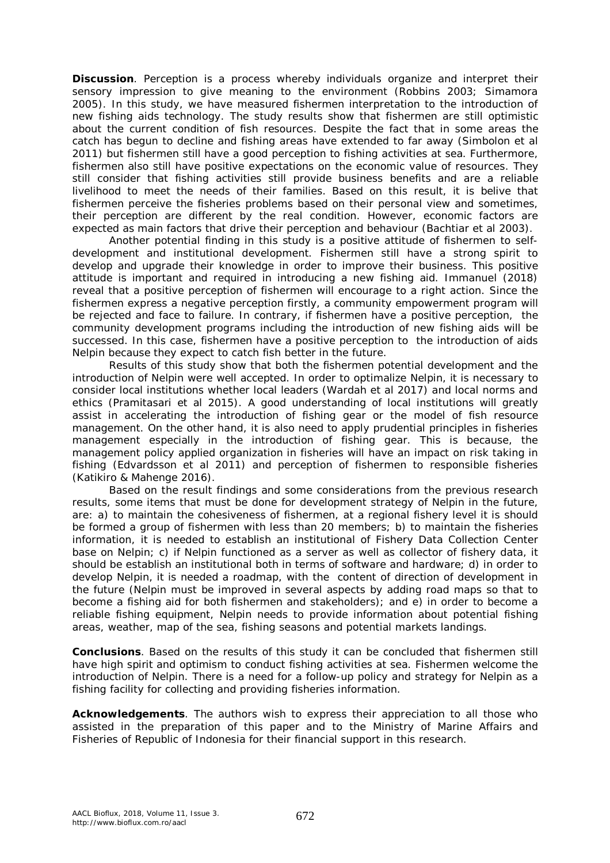**Discussion**. Perception is a process whereby individuals organize and interpret their sensory impression to give meaning to the environment (Robbins 2003; Simamora 2005). In this study, we have measured fishermen interpretation to the introduction of new fishing aids technology. The study results show that fishermen are still optimistic about the current condition of fish resources. Despite the fact that in some areas the catch has begun to decline and fishing areas have extended to far away (Simbolon et al 2011) but fishermen still have a good perception to fishing activities at sea. Furthermore, fishermen also still have positive expectations on the economic value of resources. They still consider that fishing activities still provide business benefits and are a reliable livelihood to meet the needs of their families. Based on this result, it is belive that fishermen perceive the fisheries problems based on their personal view and sometimes, their perception are different by the real condition. However, economic factors are expected as main factors that drive their perception and behaviour (Bachtiar et al 2003).

Another potential finding in this study is a positive attitude of fishermen to selfdevelopment and institutional development. Fishermen still have a strong spirit to develop and upgrade their knowledge in order to improve their business. This positive attitude is important and required in introducing a new fishing aid. Immanuel (2018) reveal that a positive perception of fishermen will encourage to a right action. Since the fishermen express a negative perception firstly, a community empowerment program will be rejected and face to failure. In contrary, if fishermen have a positive perception, the community development programs including the introduction of new fishing aids will be successed. In this case, fishermen have a positive perception to the introduction of aids Nelpin because they expect to catch fish better in the future.

Results of this study show that both the fishermen potential development and the introduction of Nelpin were well accepted. In order to optimalize Nelpin, it is necessary to consider local institutions whether local leaders (Wardah et al 2017) and local norms and ethics (Pramitasari et al 2015). A good understanding of local institutions will greatly assist in accelerating the introduction of fishing gear or the model of fish resource management. On the other hand, it is also need to apply prudential principles in fisheries management especially in the introduction of fishing gear. This is because, the management policy applied organization in fisheries will have an impact on risk taking in fishing (Edvardsson et al 2011) and perception of fishermen to responsible fisheries (Katikiro & Mahenge 2016).

Based on the result findings and some considerations from the previous research results, some items that must be done for development strategy of Nelpin in the future, are: a) to maintain the cohesiveness of fishermen, at a regional fishery level it is should be formed a group of fishermen with less than 20 members; b) to maintain the fisheries information, it is needed to establish an institutional of Fishery Data Collection Center base on Nelpin; c) if Nelpin functioned as a server as well as collector of fishery data, it should be establish an institutional both in terms of software and hardware; d) in order to develop Nelpin, it is needed a roadmap, with the content of direction of development in the future (Nelpin must be improved in several aspects by adding road maps so that to become a fishing aid for both fishermen and stakeholders); and e) in order to become a reliable fishing equipment, Nelpin needs to provide information about potential fishing areas, weather, map of the sea, fishing seasons and potential markets landings.

**Conclusions**. Based on the results of this study it can be concluded that fishermen still have high spirit and optimism to conduct fishing activities at sea. Fishermen welcome the introduction of Nelpin. There is a need for a follow-up policy and strategy for Nelpin as a fishing facility for collecting and providing fisheries information.

**Acknowledgements**. The authors wish to express their appreciation to all those who assisted in the preparation of this paper and to the Ministry of Marine Affairs and Fisheries of Republic of Indonesia for their financial support in this research.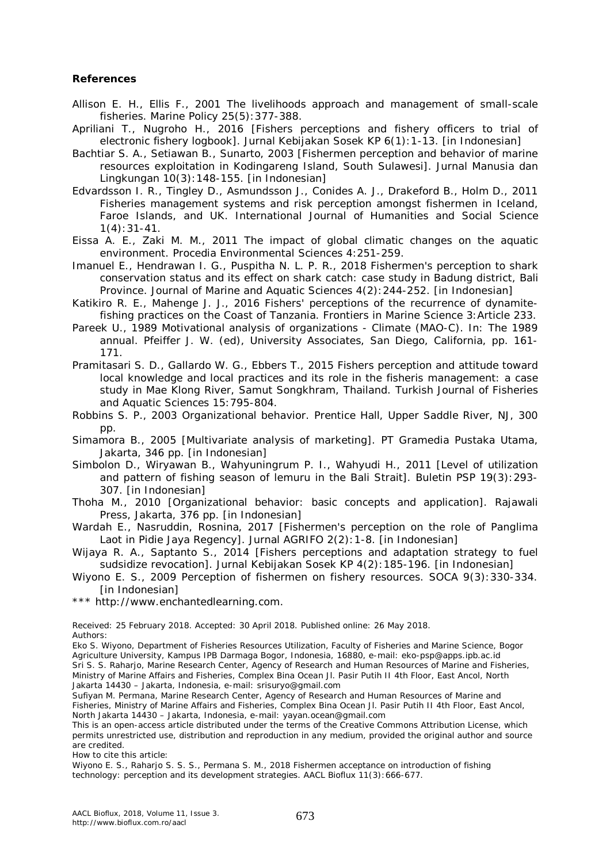#### **References**

- Allison E. H., Ellis F., 2001 The livelihoods approach and management of small-scale fisheries. Marine Policy 25(5):377-388.
- Apriliani T., Nugroho H., 2016 [Fishers perceptions and fishery officers to trial of electronic fishery logbook]. Jurnal Kebijakan Sosek KP 6(1):1-13. [in Indonesian]
- Bachtiar S. A., Setiawan B., Sunarto, 2003 [Fishermen perception and behavior of marine resources exploitation in Kodingareng Island, South Sulawesi]. Jurnal Manusia dan Lingkungan 10(3):148-155. [in Indonesian]
- Edvardsson I. R., Tingley D., Asmundsson J., Conides A. J., Drakeford B., Holm D., 2011 Fisheries management systems and risk perception amongst fishermen in Iceland, Faroe Islands, and UK. International Journal of Humanities and Social Science 1(4):31-41.
- Eissa A. E., Zaki M. M., 2011 The impact of global climatic changes on the aquatic environment. Procedia Environmental Sciences 4:251-259.
- Imanuel E., Hendrawan I. G., Puspitha N. L. P. R., 2018 Fishermen's perception to shark conservation status and its effect on shark catch: case study in Badung district, Bali Province. Journal of Marine and Aquatic Sciences 4(2):244-252. [in Indonesian]
- Katikiro R. E., Mahenge J. J., 2016 Fishers' perceptions of the recurrence of dynamitefishing practices on the Coast of Tanzania. Frontiers in Marine Science 3:Article 233.
- Pareek U., 1989 Motivational analysis of organizations Climate (MAO-C). In: The 1989 annual. Pfeiffer J. W. (ed), University Associates, San Diego, California, pp. 161- 171.
- Pramitasari S. D., Gallardo W. G., Ebbers T., 2015 Fishers perception and attitude toward local knowledge and local practices and its role in the fisheris management: a case study in Mae Klong River, Samut Songkhram, Thailand. Turkish Journal of Fisheries and Aquatic Sciences 15:795-804.
- Robbins S. P., 2003 Organizational behavior. Prentice Hall, Upper Saddle River, NJ, 300 pp.

Simamora B., 2005 [Multivariate analysis of marketing]. PT Gramedia Pustaka Utama, Jakarta, 346 pp. [in Indonesian]

Simbolon D., Wiryawan B., Wahyuningrum P. I., Wahyudi H., 2011 [Level of utilization and pattern of fishing season of lemuru in the Bali Strait]. Buletin PSP 19(3):293- 307. [in Indonesian]

Thoha M., 2010 [Organizational behavior: basic concepts and application]. Rajawali Press, Jakarta, 376 pp. [in Indonesian]

Wardah E., Nasruddin, Rosnina, 2017 [Fishermen's perception on the role of Panglima Laot in Pidie Jaya Regency]. Jurnal AGRIFO 2(2): 1-8. [in Indonesian]

Wijaya R. A., Saptanto S., 2014 [Fishers perceptions and adaptation strategy to fuel sudsidize revocation]. Jurnal Kebijakan Sosek KP 4(2):185-196. [in Indonesian]

Wiyono E. S., 2009 Perception of fishermen on fishery resources. SOCA 9(3):330-334. [in Indonesian]

\*\*\* http://www.enchantedlearning.com.

Received: 25 February 2018. Accepted: 30 April 2018. Published online: 26 May 2018. Authors:

Eko S. Wiyono, Department of Fisheries Resources Utilization, Faculty of Fisheries and Marine Science, Bogor Agriculture University, Kampus IPB Darmaga Bogor, Indonesia, 16880, e-mail: eko-psp@apps.ipb.ac.id Sri S. S. Raharjo, Marine Research Center, Agency of Research and Human Resources of Marine and Fisheries, Ministry of Marine Affairs and Fisheries, Complex Bina Ocean Jl. Pasir Putih II 4th Floor, East Ancol, North Jakarta 14430 – Jakarta, Indonesia, e-mail: srisuryo@gmail.com

Sufiyan M. Permana, Marine Research Center, Agency of Research and Human Resources of Marine and Fisheries, Ministry of Marine Affairs and Fisheries, Complex Bina Ocean Jl. Pasir Putih II 4th Floor, East Ancol, North Jakarta 14430 – Jakarta, Indonesia, e-mail: yayan.ocean@gmail.com

This is an open-access article distributed under the terms of the Creative Commons Attribution License, which permits unrestricted use, distribution and reproduction in any medium, provided the original author and source are credited.

How to cite this article:

Wiyono E. S., Raharjo S. S. S., Permana S. M., 2018 Fishermen acceptance on introduction of fishing technology: perception and its development strategies. AACL Bioflux 11(3):666-677.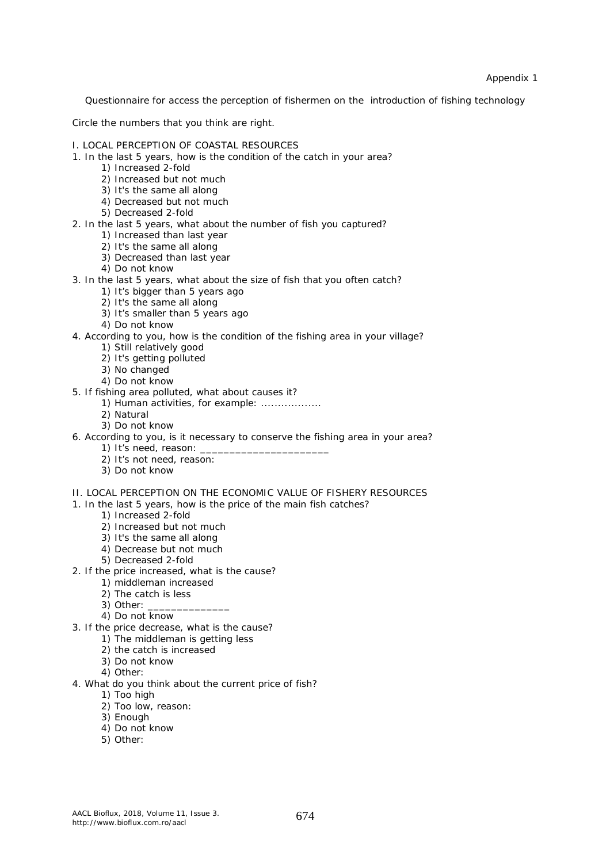Appendix 1

Questionnaire for access the perception of fishermen on the introduction of fishing technology

Circle the numbers that you think are right.

- I. LOCAL PERCEPTION OF COASTAL RESOURCES
- 1. In the last 5 years, how is the condition of the catch in your area?
	- 1) Increased 2-fold
	- 2) Increased but not much
	- 3) It's the same all along
	- 4) Decreased but not much
	- 5) Decreased 2-fold
- 2. In the last 5 years, what about the number of fish you captured?
	- 1) Increased than last year
	- 2) It's the same all along
	- 3) Decreased than last year
	- 4) Do not know
- 3. In the last 5 years, what about the size of fish that you often catch?
	- 1) It's bigger than 5 years ago
	- 2) It's the same all along
	- 3) It's smaller than 5 years ago
	- 4) Do not know
- 4. According to you, how is the condition of the fishing area in your village?
	- 1) Still relatively good
	- 2) It's getting polluted
	- 3) No changed
	- 4) Do not know
- 5. If fishing area polluted, what about causes it?
	- 1) Human activities, for example: ..................
	- 2) Natural
	- 3) Do not know
- 6. According to you, is it necessary to conserve the fishing area in your area?
	- 1) It's need, reason:
	- 2) It's not need, reason:
	- 3) Do not know
- II. LOCAL PERCEPTION ON THE ECONOMIC VALUE OF FISHERY RESOURCES
- 1. In the last 5 years, how is the price of the main fish catches?
	- 1) Increased 2-fold
		- 2) Increased but not much
		- 3) It's the same all along
		- 4) Decrease but not much
		- 5) Decreased 2-fold
- 2. If the price increased, what is the cause?
	- 1) middleman increased
	- 2) The catch is less
	- 3) Other:
	- 4) Do not know
- 3. If the price decrease, what is the cause?
	- 1) The middleman is getting less
	- 2) the catch is increased
	- 3) Do not know
	- 4) Other:
- 4. What do you think about the current price of fish?
	- 1) Too high
	- 2) Too low, reason:
	- 3) Enough
	- 4) Do not know
	- 5) Other: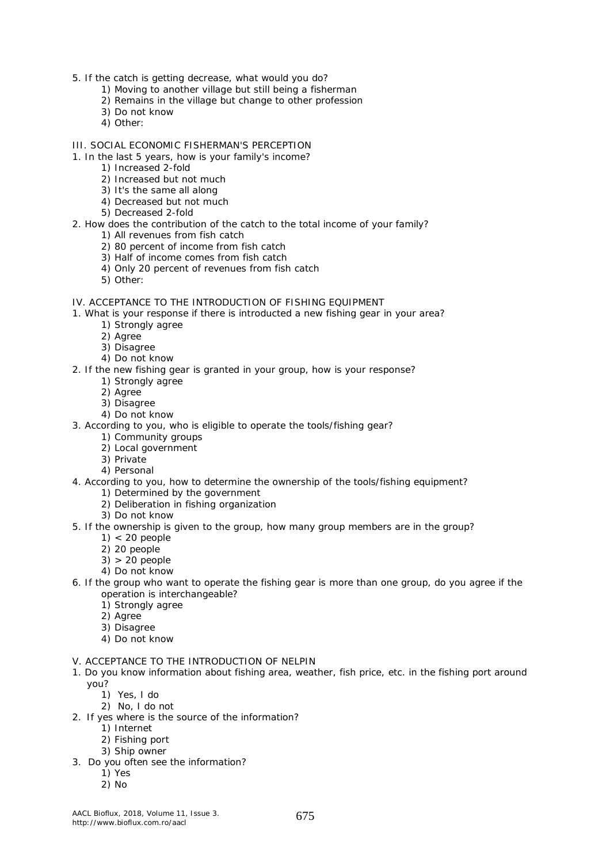- 5. If the catch is getting decrease, what would you do?
	- 1) Moving to another village but still being a fisherman
	- 2) Remains in the village but change to other profession
	- 3) Do not know
	- 4) Other:
- III. SOCIAL ECONOMIC FISHERMAN'S PERCEPTION
- 1. In the last 5 years, how is your family's income?
	- 1) Increased 2-fold
	- 2) Increased but not much
	- 3) It's the same all along
	- 4) Decreased but not much
	- 5) Decreased 2-fold
- 2. How does the contribution of the catch to the total income of your family?
	- 1) All revenues from fish catch
	- 2) 80 percent of income from fish catch
	- 3) Half of income comes from fish catch
	- 4) Only 20 percent of revenues from fish catch
	- 5) Other:
- IV. ACCEPTANCE TO THE INTRODUCTION OF FISHING EQUIPMENT
- 1. What is your response if there is introducted a new fishing gear in your area?
	- 1) Strongly agree
	- 2) Agree
	- 3) Disagree
	- 4) Do not know
- 2. If the new fishing gear is granted in your group, how is your response?
	- 1) Strongly agree
	- 2) Agree
	- 3) Disagree
	- 4) Do not know
- 3. According to you, who is eligible to operate the tools/fishing gear?
	- 1) Community groups
	- 2) Local government
	- 3) Private
	- 4) Personal
- 4. According to you, how to determine the ownership of the tools/fishing equipment?
	- 1) Determined by the government
	- 2) Deliberation in fishing organization
	- 3) Do not know
- 5. If the ownership is given to the group, how many group members are in the group?
	- $1$  < 20 people
	- 2) 20 people
	- 3) > 20 people
	- 4) Do not know
- 6. If the group who want to operate the fishing gear is more than one group, do you agree if the operation is interchangeable?
	- 1) Strongly agree
	- 2) Agree
	- 3) Disagree
	- 4) Do not know
- V. ACCEPTANCE TO THE INTRODUCTION OF NELPIN
- 1. Do you know information about fishing area, weather, fish price, etc. in the fishing port around you?
	- 1) Yes, I do
	- 2) No, I do not
- 2. If yes where is the source of the information?
	- 1) Internet
		- 2) Fishing port
		- 3) Ship owner
- 3. Do you often see the information?
	- 1) Yes
	- 2) No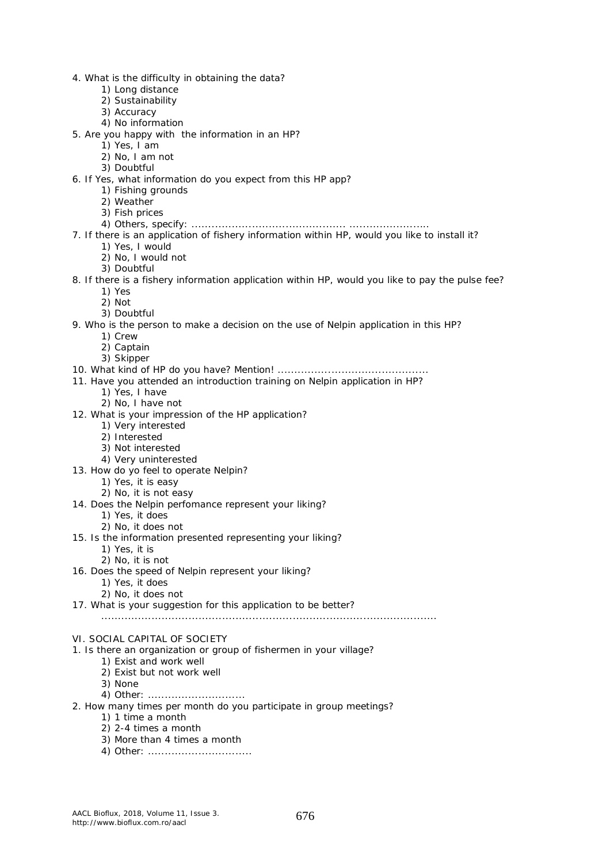- 4. What is the difficulty in obtaining the data?
	- 1) Long distance
	- 2) Sustainability
	- 3) Accuracy
	- 4) No information
- 5. Are you happy with the information in an HP?
	- 1) Yes, I am
	- 2) No, I am not
	- 3) Doubtful
- 6. If Yes, what information do you expect from this HP app?
	- 1) Fishing grounds
		- 2) Weather
		- 3) Fish prices
	- 4) Others, specify: .............................................. ........................
- 7. If there is an application of fishery information within HP, would you like to install it?
	- 1) Yes, I would
	- 2) No, I would not
	- 3) Doubtful
- 8. If there is a fishery information application within HP, would you like to pay the pulse fee?
	- 1) Yes
	- 2) Not
	- 3) Doubtful
- 9. Who is the person to make a decision on the use of Nelpin application in this HP?
	- 1) Crew
		- 2) Captain
		- 3) Skipper

#### 10. What kind of HP do you have? Mention! .............................................

- 11. Have you attended an introduction training on Nelpin application in HP?
	- 1) Yes, I have
	- 2) No, I have not
- 12. What is your impression of the HP application?
	- 1) Very interested
	- 2) Interested
	- 3) Not interested
	- 4) Very uninterested
- 13. How do yo feel to operate Nelpin?
	- 1) Yes, it is easy
	- 2) No, it is not easy
- 14. Does the Nelpin perfomance represent your liking?
	- 1) Yes, it does
	- 2) No, it does not
- 15. Is the information presented representing your liking?
	- 1) Yes, it is
	- 2) No, it is not
- 16. Does the speed of Nelpin represent your liking?
	- 1) Yes, it does
- 2) No, it does not 17. What is your suggestion for this application to be better?

#### VI. SOCIAL CAPITAL OF SOCIETY

- 1. Is there an organization or group of fishermen in your village?
	- 1) Exist and work well
	- 2) Exist but not work well
	- 3) None
	- 4) Other: .............................
- 2. How many times per month do you participate in group meetings?
	- 1) 1 time a month
	- 2) 2-4 times a month
	- 3) More than 4 times a month
	- 4) Other: ...............................